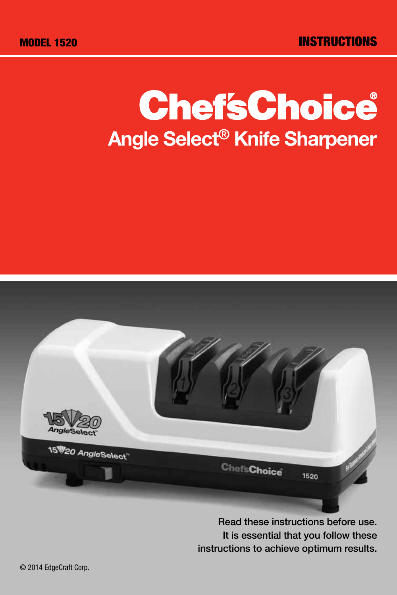# **ChefsChoice** Angle Select® Knife Sharpener



Read these instructions before use. It is essential that you follow these instructions to achieve optimum results.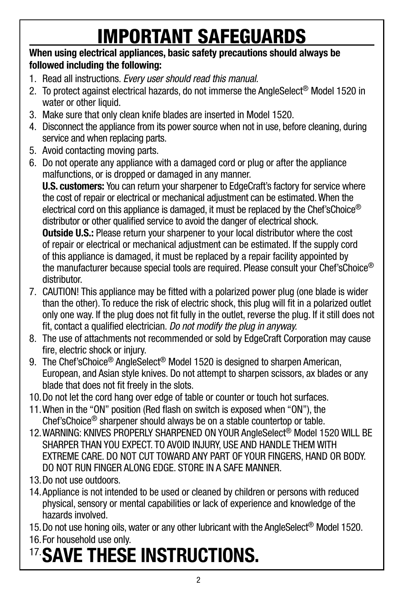# Important Safeguards

## When using electrical appliances, basic safety precautions should always be followed including the following:

- 1. Read all instructions. *Every user should read this manual.*
- 2. To protect against electrical hazards, do not immerse the AngleSelect<sup>®</sup> Model 1520 in water or other liquid.
- 3. Make sure that only clean knife blades are inserted in Model 1520.
- 4. Disconnect the appliance from its power source when not in use, before cleaning, during service and when replacing parts.
- 5. Avoid contacting moving parts.
- 6. Do not operate any appliance with a damaged cord or plug or after the appliance malfunctions, or is dropped or damaged in any manner.

U.S. customers: You can return your sharpener to EdgeCraft's factory for service where the cost of repair or electrical or mechanical adjustment can be estimated. When the electrical cord on this appliance is damaged, it must be replaced by the Chef'sChoice<sup>®</sup> distributor or other qualified service to avoid the danger of electrical shock. **Outside U.S.:** Please return your sharpener to your local distributor where the cost

of repair or electrical or mechanical adjustment can be estimated. If the supply cord of this appliance is damaged, it must be replaced by a repair facility appointed by the manufacturer because special tools are required. Please consult your Chef'sChoice® distributor.

- 7. CAUTION! This appliance may be fitted with a polarized power plug (one blade is wider than the other). To reduce the risk of electric shock, this plug will fit in a polarized outlet only one way. If the plug does not fit fully in the outlet, reverse the plug. If it still does not fit, contact a qualified electrician. *Do not modify the plug in anyway.*
- 8. The use of attachments not recommended or sold by EdgeCraft Corporation may cause fire, electric shock or injury.
- 9. The Chef'sChoice<sup>®</sup> AngleSelect<sup>®</sup> Model 1520 is designed to sharpen American. European, and Asian style knives. Do not attempt to sharpen scissors, ax blades or any blade that does not fit freely in the slots.
- 10.Do not let the cord hang over edge of table or counter or touch hot surfaces.
- 11.When in the "ON" position (Red flash on switch is exposed when "ON"), the Chef'sChoice® sharpener should always be on a stable countertop or table.
- 12.WARNING: KNIVES PROPERLY SHARPENED ON YOUR AngleSelect® Model 1520 WILL BE SHARPER THAN YOU EXPECT. TO AVOID INJURY, USE AND HANDLE THEM WITH EXTREME CARE. DO NOT CUT TOWARD ANY PART OF YOUR FINGERS, HAND OR BODY. DO NOT RUN FINGER ALONG EDGE. STORE IN A SAFE MANNER.
- 13.Do not use outdoors.
- 14.Appliance is not intended to be used or cleaned by children or persons with reduced physical, sensory or mental capabilities or lack of experience and knowledge of the hazards involved.
- 15.Do not use honing oils, water or any other lubricant with the AngleSelect® Model 1520.
- 16.For household use only.

# 17.SAVE THESE INSTRUCTIONS.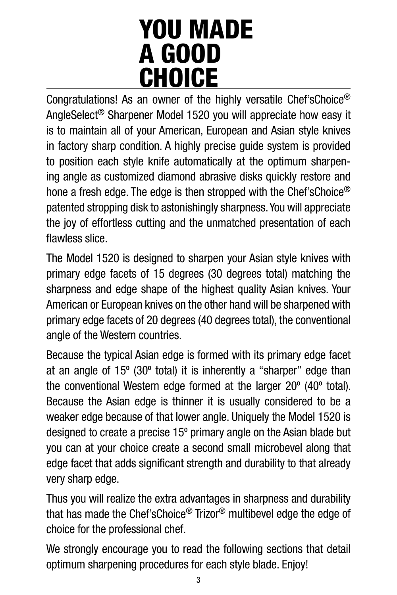# YOU MADE A GOOD **CHOICE**

Congratulations! As an owner of the highly versatile Chef'sChoice® AngleSelect® Sharpener Model 1520 you will appreciate how easy it is to maintain all of your American, European and Asian style knives in factory sharp condition. A highly precise guide system is provided to position each style knife automatically at the optimum sharpening angle as customized diamond abrasive disks quickly restore and hone a fresh edge. The edge is then stropped with the Chef'sChoice<sup>®</sup> patented stropping disk to astonishingly sharpness. You will appreciate the joy of effortless cutting and the unmatched presentation of each flawless slice.

The Model 1520 is designed to sharpen your Asian style knives with primary edge facets of 15 degrees (30 degrees total) matching the sharpness and edge shape of the highest quality Asian knives. Your American or European knives on the other hand will be sharpened with primary edge facets of 20 degrees (40 degrees total), the conventional angle of the Western countries.

Because the typical Asian edge is formed with its primary edge facet at an angle of 15º (30º total) it is inherently a "sharper" edge than the conventional Western edge formed at the larger 20º (40º total). Because the Asian edge is thinner it is usually considered to be a weaker edge because of that lower angle. Uniquely the Model 1520 is designed to create a precise 15º primary angle on the Asian blade but you can at your choice create a second small microbevel along that edge facet that adds significant strength and durability to that already very sharp edge.

Thus you will realize the extra advantages in sharpness and durability that has made the Chef'sChoice® Trizor® multibevel edge the edge of choice for the professional chef.

We strongly encourage you to read the following sections that detail optimum sharpening procedures for each style blade. Enjoy!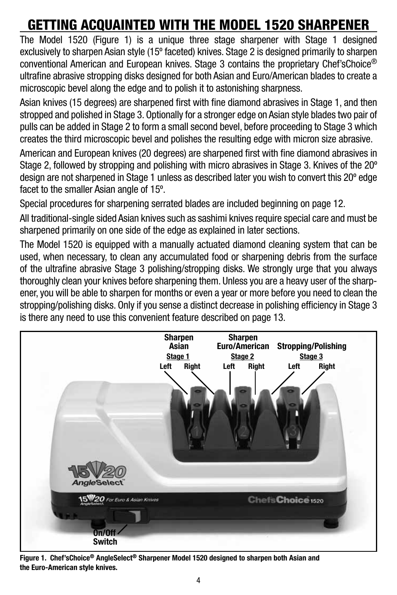# Getting Acquainted WITH THE MODEL 1520 SHARPENER

The Model 1520 (Figure 1) is a unique three stage sharpener with Stage 1 designed exclusively to sharpen Asian style (15º faceted) knives. Stage 2 is designed primarily to sharpen conventional American and European knives. Stage 3 contains the proprietary Chef'sChoice® ultrafine abrasive stropping disks designed for both Asian and Euro/American blades to create a microscopic bevel along the edge and to polish it to astonishing sharpness.

Asian knives (15 degrees) are sharpened first with fine diamond abrasives in Stage 1, and then stropped and polished in Stage 3. Optionally for a stronger edge on Asian style blades two pair of pulls can be added in Stage 2 to form a small second bevel, before proceeding to Stage 3 which creates the third microscopic bevel and polishes the resulting edge with micron size abrasive.

American and European knives (20 degrees) are sharpened first with fine diamond abrasives in Stage 2, followed by stropping and polishing with micro abrasives in Stage 3. Knives of the 20° design are not sharpened in Stage 1 unless as described later you wish to convert this 20º edge facet to the smaller Asian angle of 15º.

Special procedures for sharpening serrated blades are included beginning on page 12.

All traditional-single sided Asian knives such as sashimi knives require special care and must be sharpened primarily on one side of the edge as explained in later sections.

The Model 1520 is equipped with a manually actuated diamond cleaning system that can be used, when necessary, to clean any accumulated food or sharpening debris from the surface of the ultrafine abrasive Stage 3 polishing/stropping disks. We strongly urge that you always thoroughly clean your knives before sharpening them. Unless you are a heavy user of the sharpener, you will be able to sharpen for months or even a year or more before you need to clean the stropping/polishing disks. Only if you sense a distinct decrease in polishing efficiency in Stage 3 is there any need to use this convenient feature described on page 13.



Figure 1. Chef'sChoice® AngleSelect® Sharpener Model 1520 designed to sharpen both Asian and the Euro-American style knives.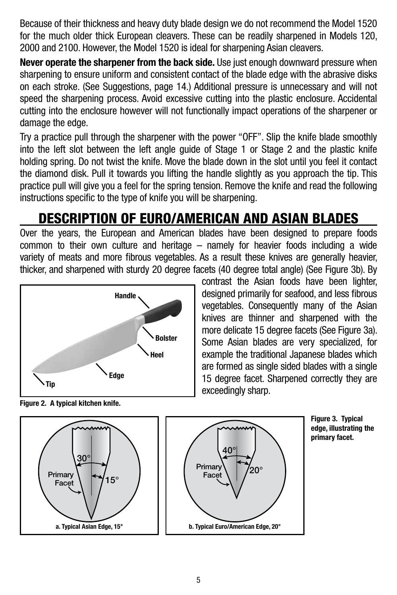Because of their thickness and heavy duty blade design we do not recommend the Model 1520 for the much older thick European cleavers. These can be readily sharpened in Models 120, 2000 and 2100. However, the Model 1520 is ideal for sharpening Asian cleavers.

**Never operate the sharpener from the back side.** Use just enough downward pressure when sharpening to ensure uniform and consistent contact of the blade edge with the abrasive disks on each stroke. (See Suggestions, page 14.) Additional pressure is unnecessary and will not speed the sharpening process. Avoid excessive cutting into the plastic enclosure. Accidental cutting into the enclosure however will not functionally impact operations of the sharpener or damage the edge.

Try a practice pull through the sharpener with the power "OFF". Slip the knife blade smoothly into the left slot between the left angle guide of Stage 1 or Stage 2 and the plastic knife holding spring. Do not twist the knife. Move the blade down in the slot until you feel it contact the diamond disk. Pull it towards you lifting the handle slightly as you approach the tip. This practice pull will give you a feel for the spring tension. Remove the knife and read the following instructions specific to the type of knife you will be sharpening.

## DESCRIPTION OF EURO/AMERICAN AND ASIAN BLADES

Over the years, the European and American blades have been designed to prepare foods common to their own culture and heritage – namely for heavier foods including a wide variety of meats and more fibrous vegetables. As a result these knives are generally heavier, thicker, and sharpened with sturdy 20 degree facets (40 degree total angle) (See Figure 3b). By



contrast the Asian foods have been lighter, designed primarily for seafood, and less fibrous vegetables. Consequently many of the Asian knives are thinner and sharpened with the more delicate 15 degree facets (See Figure 3a). Some Asian blades are very specialized, for example the traditional Japanese blades which are formed as single sided blades with a single 15 degree facet. Sharpened correctly they are exceedingly sharp.

Figure 2. A typical kitchen knife.



Figure 3. Typical edge, illustrating the primary facet.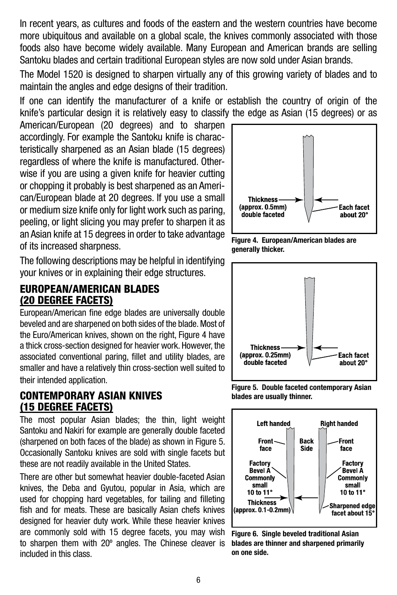In recent years, as cultures and foods of the eastern and the western countries have become more ubiquitous and available on a global scale, the knives commonly associated with those foods also have become widely available. Many European and American brands are selling Santoku blades and certain traditional European styles are now sold under Asian brands.

The Model 1520 is designed to sharpen virtually any of this growing variety of blades and to maintain the angles and edge designs of their tradition.

If one can identify the manufacturer of a knife or establish the country of origin of the knife's particular design it is relatively easy to classify the edge as Asian (15 degrees) or as

American/European (20 degrees) and to sharpen accordingly. For example the Santoku knife is characteristically sharpened as an Asian blade (15 degrees) regardless of where the knife is manufactured. Otherwise if you are using a given knife for heavier cutting or chopping it probably is best sharpened as an American/European blade at 20 degrees. If you use a small or medium size knife only for light work such as paring, peeling, or light slicing you may prefer to sharpen it as an Asian knife at 15 degrees in order to take advantage of its increased sharpness.

The following descriptions may be helpful in identifying your knives or in explaining their edge structures.

## EUROPEAN/AMERICAN BLADES (20 Degree Facets)

European/American fine edge blades are universally double beveled and are sharpened on both sides of the blade. Most of the Euro/American knives, shown on the right, Figure 4 have a thick cross-section designed for heavier work. However, the associated conventional paring, fillet and utility blades, are smaller and have a relatively thin cross-section well suited to their intended application.

### CONTEMPORARY ASIAN KNIVES (15 degree facets)

The most popular Asian blades; the thin, light weight Santoku and Nakiri for example are generally double faceted (sharpened on both faces of the blade) as shown in Figure 5. Occasionally Santoku knives are sold with single facets but these are not readily available in the United States.

There are other but somewhat heavier double-faceted Asian knives, the Deba and Gyutou, popular in Asia, which are used for chopping hard vegetables, for tailing and filleting fish and for meats. These are basically Asian chefs knives designed for heavier duty work. While these heavier knives are commonly sold with 15 degree facets, you may wish to sharpen them with 20º angles. The Chinese cleaver is included in this class.



Figure 4. European/American blades are generally thicker.



Figure 5. Double faceted contemporary Asian blades are usually thinner.



Figure 6. Single beveled traditional Asian blades are thinner and sharpened primarily on one side.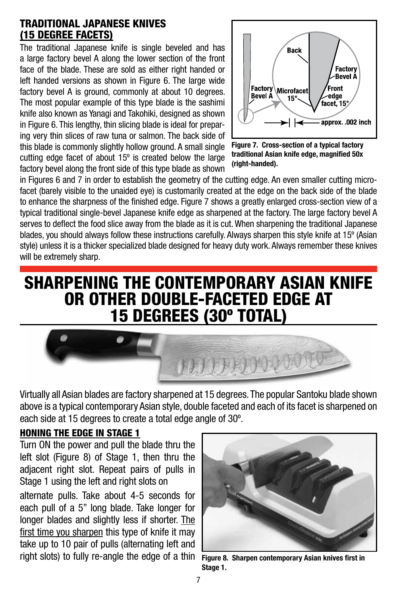### TRADITIONAL JAPANESE KNIVES (15 degree facets)

The traditional Japanese knife is single beveled and has a large factory bevel A along the lower section of the front face of the blade. These are sold as either right handed or left handed versions as shown in Figure 6. The large wide factory bevel A is ground, commonly at about 10 degrees. The most popular example of this type blade is the sashimi knife also known as Yanagi and Takohiki, designed as shown in Figure 6. This lengthy, thin slicing blade is ideal for preparing very thin slices of raw tuna or salmon. The back side of this blade is commonly slightly hollow ground. A small single cutting edge facet of about 15º is created below the large factory bevel along the front side of this type blade as shown



Figure 7. Cross-section of a typical factory traditional Asian knife edge, magnified 50x (right-handed).

in Figures 6 and 7 in order to establish the geometry of the cutting edge. An even smaller cutting microfacet (barely visible to the unaided eye) is customarily created at the edge on the back side of the blade to enhance the sharpness of the finished edge. Figure 7 shows a greatly enlarged cross-section view of a typical traditional single-bevel Japanese knife edge as sharpened at the factory. The large factory bevel A serves to deflect the food slice away from the blade as it is cut. When sharpening the traditional Japanese blades, you should always follow these instructions carefully. Always sharpen this style knife at 15º (Asian style) unless it is a thicker specialized blade designed for heavy duty work. Always remember these knives will be extremely sharp.

## SHARPENING THE CONTEMPORARY ASIAN KNIFE OR OTHER DOUBLE-FACETED EDGE AT 15 DEGREES (30º TOTAL)



Virtually all Asian blades are factory sharpened at 15 degrees. The popular Santoku blade shown above is a typical contemporary Asian style, double faceted and each of its facet is sharpened on each side at 15 degrees to create a total edge angle of 30º.

#### Honing the edge in stage 1

Turn ON the power and pull the blade thru the left slot (Figure 8) of Stage 1, then thru the adjacent right slot. Repeat pairs of pulls in Stage 1 using the left and right slots on

alternate pulls. Take about 4-5 seconds for each pull of a 5" long blade. Take longer for longer blades and slightly less if shorter. The first time you sharpen this type of knife it may take up to 10 pair of pulls (alternating left and right slots) to fully re-angle the edge of a thin Figure 8. Sharpen contemporary Asian knives first in



Stage 1.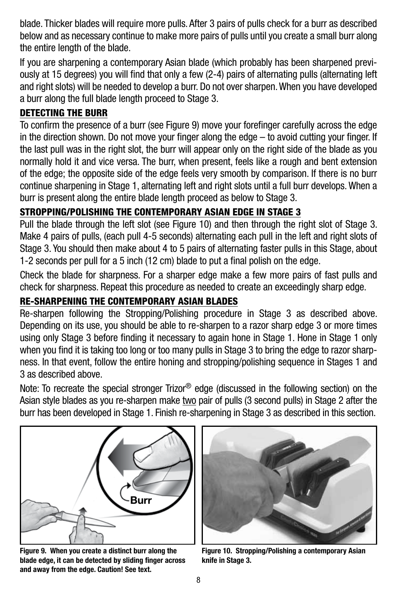blade. Thicker blades will require more pulls. After 3 pairs of pulls check for a burr as described below and as necessary continue to make more pairs of pulls until you create a small burr along the entire length of the blade.

If you are sharpening a contemporary Asian blade (which probably has been sharpened previously at 15 degrees) you will find that only a few (2-4) pairs of alternating pulls (alternating left and right slots) will be needed to develop a burr. Do not over sharpen. When you have developed a burr along the full blade length proceed to Stage 3.

## DETECTING THE BURR

To confirm the presence of a burr (see Figure 9) move your forefinger carefully across the edge in the direction shown. Do not move your finger along the edge – to avoid cutting your finger. If the last pull was in the right slot, the burr will appear only on the right side of the blade as you normally hold it and vice versa. The burr, when present, feels like a rough and bent extension of the edge; the opposite side of the edge feels very smooth by comparison. If there is no burr continue sharpening in Stage 1, alternating left and right slots until a full burr develops. When a burr is present along the entire blade length proceed as below to Stage 3.

## STROPPING/POLISHING THE CONTEMPORARY ASIAN EDGE IN STAGE 3

Pull the blade through the left slot (see Figure 10) and then through the right slot of Stage 3. Make 4 pairs of pulls, (each pull 4-5 seconds) alternating each pull in the left and right slots of Stage 3. You should then make about 4 to 5 pairs of alternating faster pulls in this Stage, about 1-2 seconds per pull for a 5 inch (12 cm) blade to put a final polish on the edge.

Check the blade for sharpness. For a sharper edge make a few more pairs of fast pulls and check for sharpness. Repeat this procedure as needed to create an exceedingly sharp edge.

## RE-SHARPENING THE CONTEMPORARY ASIAN BLADES

Re-sharpen following the Stropping/Polishing procedure in Stage 3 as described above. Depending on its use, you should be able to re-sharpen to a razor sharp edge 3 or more times using only Stage 3 before finding it necessary to again hone in Stage 1. Hone in Stage 1 only when you find it is taking too long or too many pulls in Stage 3 to bring the edge to razor sharpness. In that event, follow the entire honing and stropping/polishing sequence in Stages 1 and 3 as described above.

Note: To recreate the special stronger Trizor® edge (discussed in the following section) on the Asian style blades as you re-sharpen make two pair of pulls (3 second pulls) in Stage 2 after the burr has been developed in Stage 1. Finish re-sharpening in Stage 3 as described in this section.



Figure 9. When you create a distinct burr along the blade edge, it can be detected by sliding finger across and away from the edge. Caution! See text.



Figure 10. Stropping/Polishing a contemporary Asian knife in Stage 3.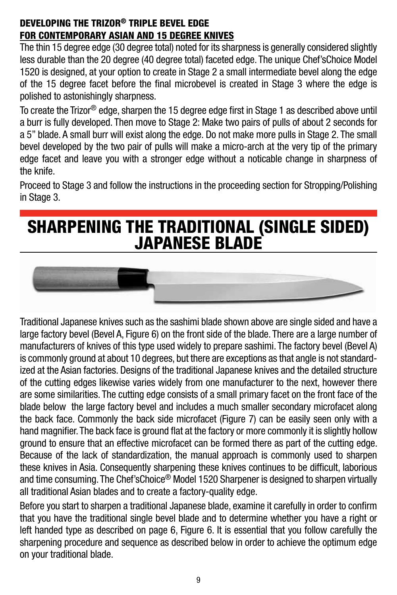### DEVELOPING THE TRIZOR® TRIPLE BEVEL EDGE FOR contemporary ASIAN AND 15 DEGREE KNIVES

The thin 15 degree edge (30 degree total) noted for its sharpness is generally considered slightly less durable than the 20 degree (40 degree total) faceted edge. The unique Chef'sChoice Model 1520 is designed, at your option to create in Stage 2 a small intermediate bevel along the edge of the 15 degree facet before the final microbevel is created in Stage 3 where the edge is polished to astonishingly sharpness.

To create the Trizor® edge, sharpen the 15 degree edge first in Stage 1 as described above until a burr is fully developed. Then move to Stage 2: Make two pairs of pulls of about 2 seconds for a 5" blade. A small burr will exist along the edge. Do not make more pulls in Stage 2. The small bevel developed by the two pair of pulls will make a micro-arch at the very tip of the primary edge facet and leave you with a stronger edge without a noticable change in sharpness of the knife.

Proceed to Stage 3 and follow the instructions in the proceeding section for Stropping/Polishing in Stage 3.

# SHARPENING THE TRADITIONAL (SINGLE SIDED) JAPANESE BLADE



Traditional Japanese knives such as the sashimi blade shown above are single sided and have a large factory bevel (Bevel A, Figure 6) on the front side of the blade. There are a large number of manufacturers of knives of this type used widely to prepare sashimi. The factory bevel (Bevel A) is commonly ground at about 10 degrees, but there are exceptions as that angle is not standardized at the Asian factories. Designs of the traditional Japanese knives and the detailed structure of the cutting edges likewise varies widely from one manufacturer to the next, however there are some similarities. The cutting edge consists of a small primary facet on the front face of the blade below the large factory bevel and includes a much smaller secondary microfacet along the back face. Commonly the back side microfacet (Figure 7) can be easily seen only with a hand magnifier. The back face is ground flat at the factory or more commonly it is slightly hollow ground to ensure that an effective microfacet can be formed there as part of the cutting edge. Because of the lack of standardization, the manual approach is commonly used to sharpen these knives in Asia. Consequently sharpening these knives continues to be difficult, laborious and time consuming. The Chef'sChoice® Model 1520 Sharpener is designed to sharpen virtually all traditional Asian blades and to create a factory-quality edge.

Before you start to sharpen a traditional Japanese blade, examine it carefully in order to confirm that you have the traditional single bevel blade and to determine whether you have a right or left handed type as described on page 6, Figure 6. It is essential that you follow carefully the sharpening procedure and sequence as described below in order to achieve the optimum edge on your traditional blade.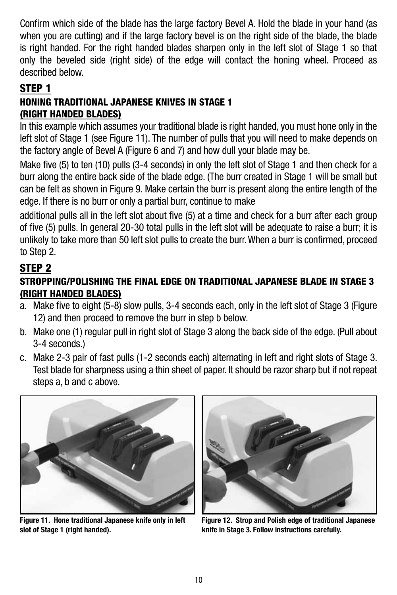Confirm which side of the blade has the large factory Bevel A. Hold the blade in your hand (as when you are cutting) and if the large factory bevel is on the right side of the blade, the blade is right handed. For the right handed blades sharpen only in the left slot of Stage 1 so that only the beveled side (right side) of the edge will contact the honing wheel. Proceed as described below.

## STEP 1

## HONING TRADITIONAL JAPANESE KNIVES IN STAGE 1 (RIGHT HANDED BLADES)

In this example which assumes your traditional blade is right handed, you must hone only in the left slot of Stage 1 (see Figure 11). The number of pulls that you will need to make depends on the factory angle of Bevel A (Figure 6 and 7) and how dull your blade may be.

Make five (5) to ten (10) pulls (3-4 seconds) in only the left slot of Stage 1 and then check for a burr along the entire back side of the blade edge. (The burr created in Stage 1 will be small but can be felt as shown in Figure 9. Make certain the burr is present along the entire length of the edge. If there is no burr or only a partial burr, continue to make

additional pulls all in the left slot about five (5) at a time and check for a burr after each group of five (5) pulls. In general 20-30 total pulls in the left slot will be adequate to raise a burr; it is unlikely to take more than 50 left slot pulls to create the burr. When a burr is confirmed, proceed to Step 2.

## STEP 2

## STROPPING/POLISHING THE FINAL EDGE ON TRADITIONAL JAPANESE BLADE IN STAGE 3 (RIGHT HANDED BLADES)

- a. Make five to eight (5-8) slow pulls, 3-4 seconds each, only in the left slot of Stage 3 (Figure 12) and then proceed to remove the burr in step b below.
- b. Make one (1) regular pull in right slot of Stage 3 along the back side of the edge. (Pull about 3-4 seconds.)
- c. Make 2-3 pair of fast pulls (1-2 seconds each) alternating in left and right slots of Stage 3. Test blade for sharpness using a thin sheet of paper. It should be razor sharp but if not repeat steps a, b and c above.



Figure 11. Hone traditional Japanese knife only in left slot of Stage 1 (right handed).



Figure 12. Strop and Polish edge of traditional Japanese knife in Stage 3. Follow instructions carefully.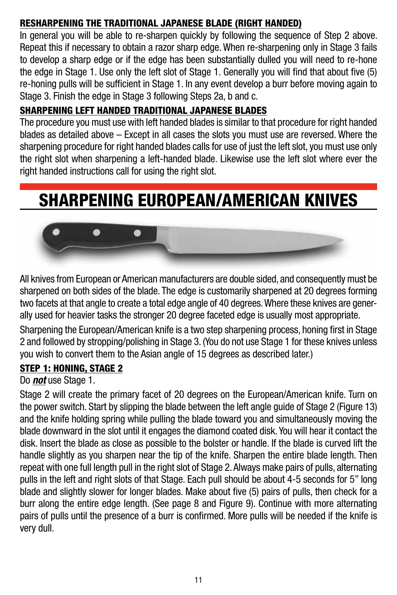## RESHARPENING THE TRADITIONAL JAPANESE BLADE (RIGHT HANDED)

In general you will be able to re-sharpen quickly by following the sequence of Step 2 above. Repeat this if necessary to obtain a razor sharp edge. When re-sharpening only in Stage 3 fails to develop a sharp edge or if the edge has been substantially dulled you will need to re-hone the edge in Stage 1. Use only the left slot of Stage 1. Generally you will find that about five (5) re-honing pulls will be sufficient in Stage 1. In any event develop a burr before moving again to Stage 3. Finish the edge in Stage 3 following Steps 2a, b and c.

### SHARPENING LEFT HANDED TRADITIONAL JAPANESE BLADES

The procedure you must use with left handed blades is similar to that procedure for right handed blades as detailed above – Except in all cases the slots you must use are reversed. Where the sharpening procedure for right handed blades calls for use of just the left slot, you must use only the right slot when sharpening a left-handed blade. Likewise use the left slot where ever the right handed instructions call for using the right slot.

# SHARPENING EUROPEAN/AMERICAN KNIVES



All knives from European or American manufacturers are double sided, and consequently must be sharpened on both sides of the blade. The edge is customarily sharpened at 20 degrees forming two facets at that angle to create a total edge angle of 40 degrees. Where these knives are generally used for heavier tasks the stronger 20 degree faceted edge is usually most appropriate.

Sharpening the European/American knife is a two step sharpening process, honing first in Stage 2 and followed by stropping/polishing in Stage 3. (You do not use Stage 1 for these knives unless you wish to convert them to the Asian angle of 15 degrees as described later.)

## Step 1: Honing, Stage 2

#### Do *not* use Stage 1.

Stage 2 will create the primary facet of 20 degrees on the European/American knife. Turn on the power switch. Start by slipping the blade between the left angle guide of Stage 2 (Figure 13) and the knife holding spring while pulling the blade toward you and simultaneously moving the blade downward in the slot until it engages the diamond coated disk. You will hear it contact the disk. Insert the blade as close as possible to the bolster or handle. If the blade is curved lift the handle slightly as you sharpen near the tip of the knife. Sharpen the entire blade length. Then repeat with one full length pull in the right slot of Stage 2. Always make pairs of pulls, alternating pulls in the left and right slots of that Stage. Each pull should be about 4-5 seconds for 5" long blade and slightly slower for longer blades. Make about five (5) pairs of pulls, then check for a burr along the entire edge length. (See page 8 and Figure 9). Continue with more alternating pairs of pulls until the presence of a burr is confirmed. More pulls will be needed if the knife is very dull.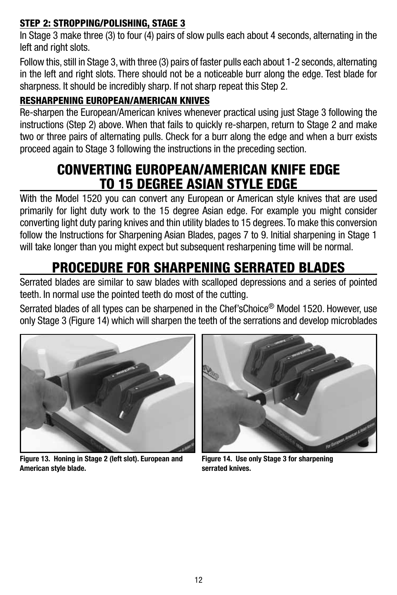## Step 2: Stropping/Polishing, Stage 3

In Stage 3 make three (3) to four (4) pairs of slow pulls each about 4 seconds, alternating in the left and right slots.

Follow this, still in Stage 3, with three (3) pairs of faster pulls each about 1-2 seconds, alternating in the left and right slots. There should not be a noticeable burr along the edge. Test blade for sharpness. It should be incredibly sharp. If not sharp repeat this Step 2.

## RESHARPENING EUROPEAN/AMERICAN KNIVES

Re-sharpen the European/American knives whenever practical using just Stage 3 following the instructions (Step 2) above. When that fails to quickly re-sharpen, return to Stage 2 and make two or three pairs of alternating pulls. Check for a burr along the edge and when a burr exists proceed again to Stage 3 following the instructions in the preceding section.

## CONVERTING EUROPEAN/AMERICAN KNIFE EDGE TO 15 DEGREE ASIAN STYLE EDGE

With the Model 1520 you can convert any European or American style knives that are used primarily for light duty work to the 15 degree Asian edge. For example you might consider converting light duty paring knives and thin utility blades to 15 degrees. To make this conversion follow the Instructions for Sharpening Asian Blades, pages 7 to 9. Initial sharpening in Stage 1 will take longer than you might expect but subsequent resharpening time will be normal.

# PROCEDURE FOR SHARPENING SERRATED BLADES

Serrated blades are similar to saw blades with scalloped depressions and a series of pointed teeth. In normal use the pointed teeth do most of the cutting.

Serrated blades of all types can be sharpened in the Chef'sChoice® Model 1520. However, use only Stage 3 (Figure 14) which will sharpen the teeth of the serrations and develop microblades



Figure 13. Honing in Stage 2 (left slot). European and American style blade.



Figure 14. Use only Stage 3 for sharpening serrated knives.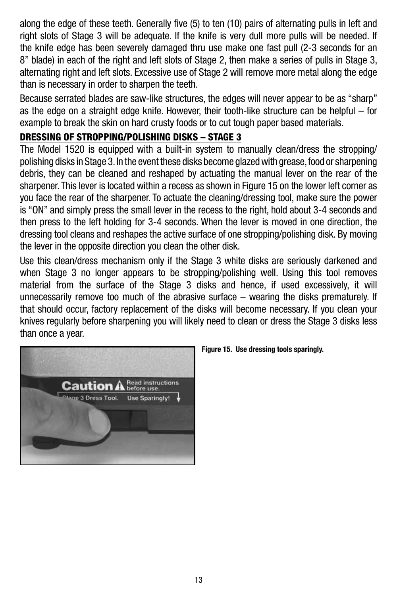along the edge of these teeth. Generally five (5) to ten (10) pairs of alternating pulls in left and right slots of Stage 3 will be adequate. If the knife is very dull more pulls will be needed. If the knife edge has been severely damaged thru use make one fast pull (2-3 seconds for an 8" blade) in each of the right and left slots of Stage 2, then make a series of pulls in Stage 3, alternating right and left slots. Excessive use of Stage 2 will remove more metal along the edge than is necessary in order to sharpen the teeth.

Because serrated blades are saw-like structures, the edges will never appear to be as "sharp" as the edge on a straight edge knife. However, their tooth-like structure can be helpful – for example to break the skin on hard crusty foods or to cut tough paper based materials.

## DRESSING OF STROPPING/POLISHING DISKS – STAGE 3

The Model 1520 is equipped with a built-in system to manually clean/dress the stropping/ polishing disks in Stage 3. In the event these disks become glazed with grease, food or sharpening debris, they can be cleaned and reshaped by actuating the manual lever on the rear of the sharpener. This lever is located within a recess as shown in Figure 15 on the lower left corner as you face the rear of the sharpener. To actuate the cleaning/dressing tool, make sure the power is "ON" and simply press the small lever in the recess to the right, hold about 3-4 seconds and then press to the left holding for 3-4 seconds. When the lever is moved in one direction, the dressing tool cleans and reshapes the active surface of one stropping/polishing disk. By moving the lever in the opposite direction you clean the other disk.

Use this clean/dress mechanism only if the Stage 3 white disks are seriously darkened and when Stage 3 no longer appears to be stropping/polishing well. Using this tool removes material from the surface of the Stage 3 disks and hence, if used excessively, it will unnecessarily remove too much of the abrasive surface – wearing the disks prematurely. If that should occur, factory replacement of the disks will become necessary. If you clean your knives regularly before sharpening you will likely need to clean or dress the Stage 3 disks less than once a year.



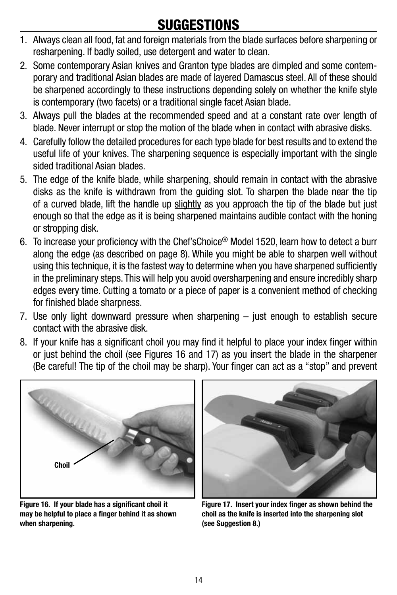## **SUGGESTIONS**

- 1. Always clean all food, fat and foreign materials from the blade surfaces before sharpening or resharpening. If badly soiled, use detergent and water to clean.
- 2. Some contemporary Asian knives and Granton type blades are dimpled and some contemporary and traditional Asian blades are made of layered Damascus steel. All of these should be sharpened accordingly to these instructions depending solely on whether the knife style is contemporary (two facets) or a traditional single facet Asian blade.
- 3. Always pull the blades at the recommended speed and at a constant rate over length of blade. Never interrupt or stop the motion of the blade when in contact with abrasive disks.
- 4. Carefully follow the detailed procedures for each type blade for best results and to extend the useful life of your knives. The sharpening sequence is especially important with the single sided traditional Asian blades.
- 5. The edge of the knife blade, while sharpening, should remain in contact with the abrasive disks as the knife is withdrawn from the guiding slot. To sharpen the blade near the tip of a curved blade, lift the handle up slightly as you approach the tip of the blade but just enough so that the edge as it is being sharpened maintains audible contact with the honing or stropping disk.
- 6. To increase your proficiency with the Chef'sChoice® Model 1520, learn how to detect a burr along the edge (as described on page 8). While you might be able to sharpen well without using this technique, it is the fastest way to determine when you have sharpened sufficiently in the preliminary steps. This will help you avoid oversharpening and ensure incredibly sharp edges every time. Cutting a tomato or a piece of paper is a convenient method of checking for finished blade sharpness.
- 7. Use only light downward pressure when sharpening just enough to establish secure contact with the abrasive disk.
- 8. If your knife has a significant choil you may find it helpful to place your index finger within or just behind the choil (see Figures 16 and 17) as you insert the blade in the sharpener (Be careful! The tip of the choil may be sharp). Your finger can act as a "stop" and prevent



Figure 16. If your blade has a significant choil it may be helpful to place a finger behind it as shown when sharpening.



Figure 17. Insert your index finger as shown behind the choil as the knife is inserted into the sharpening slot (see Suggestion 8.)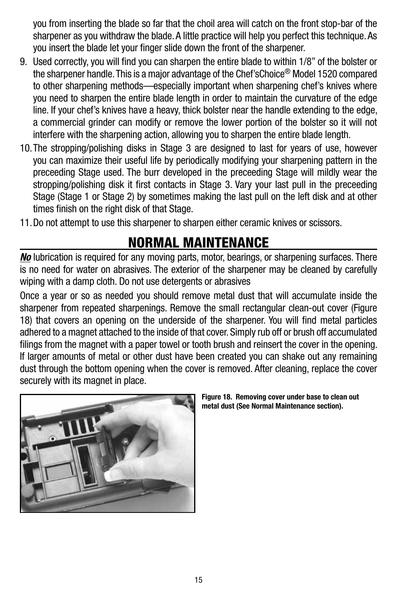you from inserting the blade so far that the choil area will catch on the front stop-bar of the sharpener as you withdraw the blade. A little practice will help you perfect this technique. As you insert the blade let your finger slide down the front of the sharpener.

- 9. Used correctly, you will find you can sharpen the entire blade to within 1/8" of the bolster or the sharpener handle. This is a major advantage of the Chef'sChoice® Model 1520 compared to other sharpening methods—especially important when sharpening chef's knives where you need to sharpen the entire blade length in order to maintain the curvature of the edge line. If your chef's knives have a heavy, thick bolster near the handle extending to the edge, a commercial grinder can modify or remove the lower portion of the bolster so it will not interfere with the sharpening action, allowing you to sharpen the entire blade length.
- 10.The stropping/polishing disks in Stage 3 are designed to last for years of use, however you can maximize their useful life by periodically modifying your sharpening pattern in the preceeding Stage used. The burr developed in the preceeding Stage will mildly wear the stropping/polishing disk it first contacts in Stage 3. Vary your last pull in the preceeding Stage (Stage 1 or Stage 2) by sometimes making the last pull on the left disk and at other times finish on the right disk of that Stage.
- 11.Do not attempt to use this sharpener to sharpen either ceramic knives or scissors.

## NORMAL MAINTENANCE

*No* lubrication is required for any moving parts, motor, bearings, or sharpening surfaces. There is no need for water on abrasives. The exterior of the sharpener may be cleaned by carefully wiping with a damp cloth. Do not use detergents or abrasives

Once a year or so as needed you should remove metal dust that will accumulate inside the sharpener from repeated sharpenings. Remove the small rectangular clean-out cover (Figure 18) that covers an opening on the underside of the sharpener. You will find metal particles adhered to a magnet attached to the inside of that cover. Simply rub off or brush off accumulated filings from the magnet with a paper towel or tooth brush and reinsert the cover in the opening. If larger amounts of metal or other dust have been created you can shake out any remaining dust through the bottom opening when the cover is removed. After cleaning, replace the cover securely with its magnet in place.



Figure 18. Removing cover under base to clean out metal dust (See Normal Maintenance section).